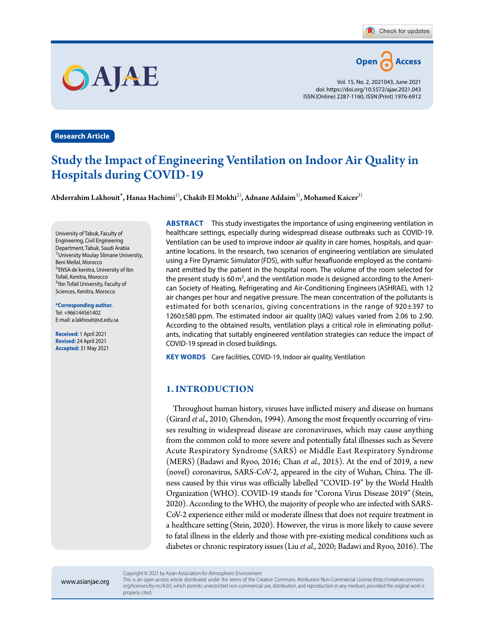

Vol. 15, No. 2, 2021043, June 2021 doi: https://doi.org/10.5572/ajae.2021.043 ISSN(Online) 2287-1160, ISSN(Print) 1976-6912

## **Research Article**

OAJAE

## Study the Impact of Engineering Ventilation on Indoor Air Quality in Hospitals during COVID-19

Abderrahim Lakhouit\***,** Hanaa Hachimi1)**,** Chakib El Mokhi2)**,** Adnane Addaim3)**,** Mohamed Kaicer3)

University of Tabuk, Faculty of Engineering, Civil Engineering Department, Tabuk, Saudi Arabia 1)University Moulay Slimane University, Beni Mellal, Morocco 2)ENSA de kenitra, University of Ibn Tofail, Kenitra, Morocco <sup>3)</sup>Ibn Tofail University, Faculty of Sciences, Kenitra, Morocco

**\*Corresponding author.** Tel: +966144561402 E-mail: a.lakhouit@ut.edu.sa

**Received:** 1 April 2021 **Revised:** 24 April 2021 **Accepted:** 31 May 2021 **ABSTRACT** This study investigates the importance of using engineering ventilation in healthcare settings, especially during widespread disease outbreaks such as COVID-19. Ventilation can be used to improve indoor air quality in care homes, hospitals, and quarantine locations. In the research, two scenarios of engineering ventilation are simulated using a Fire Dynamic Simulator(FDS), with sulfur hexafluoride employed as the contaminant emitted by the patient in the hospital room. The volume of the room selected for the present study is 60 $m<sup>3</sup>$ , and the ventilation mode is designed according to the American Society of Heating, Refrigerating and Air-Conditioning Engineers(ASHRAE), with 12 air changes per hour and negative pressure. The mean concentration of the pollutants is estimated for both scenarios, giving concentrations in the range of 920±397 to 1260±580 ppm. The estimated indoor air quality (IAQ) values varied from 2.06 to 2.90. According to the obtained results, ventilation plays a critical role in eliminating pollutants, indicating that suitably engineered ventilation strategies can reduce the impact of COVID-19 spread in closed buildings.

**KEY WORDS** Care facilities, COVID-19, Indoor air quality, Ventilation

### **1. INTRODUCTION**

Throughout human history, viruses have inflicted misery and disease on humans (Girard *et al.*, 2010; Ghendon, 1994). Among the most frequently occurring of viruses resulting in widespread disease are coronaviruses, which may cause anything from the common cold to more severe and potentially fatal illnesses such as Severe Acute Respiratory Syndrome (SARS) or Middle East Respiratory Syndrome (MERS) (Badawi and Ryoo, 2016; Chan *et al.*, 2015). At the end of 2019, a new (novel) coronavirus, SARS-CoV-2, appeared in the city of Wuhan, China. The illness caused by this virus was officially labelled "COVID-19" by the World Health Organization (WHO). COVID-19 stands for "Corona Virus Disease 2019" (Stein, 2020). According to the WHO, the majority of people who are infected with SARS-CoV-2 experience either mild or moderate illness that does not require treatment in a healthcare setting (Stein, 2020). However, the virus is more likely to cause severe to fatal illness in the elderly and those with pre-existing medical conditions such as diabetes or chronic respiratory issues (Liu *et al.*, 2020; Badawi and Ryoo, 2016). The

www.asianjae.org

This is an open-access article distributed under the terms of the Creative Commons Attribution Non-Commercial License (http://creativecommons. org/licenses/by-nc/4.0/), which permits unrestricted non-commercial use, distribution, and reproduction in any medium, provided the original work is properly cited.

Copyright © 2021 by Asian Association for Atmospheric Environment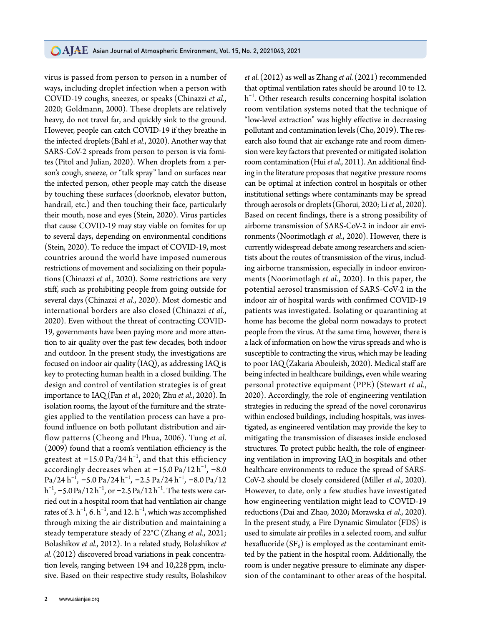virus is passed from person to person in a number of ways, including droplet infection when a person with COVID-19 coughs, sneezes, or speaks (Chinazzi *et al.*, 2020; Goldmann, 2000). These droplets are relatively heavy, do not travel far, and quickly sink to the ground. However, people can catch COVID-19 if they breathe in the infected droplets (Bahl *et al.*, 2020). Another way that SARS-CoV-2 spreads from person to person is via fomites (Pitol and Julian, 2020). When droplets from a person's cough, sneeze, or "talk spray" land on surfaces near the infected person, other people may catch the disease by touching these surfaces (doorknob, elevator button, handrail, etc.) and then touching their face, particularly their mouth, nose and eyes (Stein, 2020). Virus particles that cause COVID-19 may stay viable on fomites for up to several days, depending on environmental conditions (Stein, 2020). To reduce the impact of COVID-19, most countries around the world have imposed numerous restrictions of movement and socializing on their populations (Chinazzi *et al.*, 2020). Some restrictions are very stiff, such as prohibiting people from going outside for several days (Chinazzi *et al.*, 2020). Most domestic and international borders are also closed (Chinazzi *et al.*, 2020). Even without the threat of contracting COVID-19, governments have been paying more and more attention to air quality over the past few decades, both indoor and outdoor. In the present study, the investigations are focused on indoor air quality (IAQ), as addressing IAQ is key to protecting human health in a closed building. The design and control of ventilation strategies is of great importance to IAQ(Fan *et al.*, 2020; Zhu *et al.*, 2020). In isolation rooms, the layout of the furniture and the strategies applied to the ventilation process can have a profound influence on both pollutant distribution and airflow patterns (Cheong and Phua, 2006). Tung *et al.* (2009) found that a room's ventilation efficiency is the greatest at –15.0 Pa/24  $\rm h^{-1}$ , and that this efficiency accordingly decreases when at  $-15.0$  Pa/12  $\rm h^{-1}$ ,  $-8.0$  $Pa/24 h^{-1}$ ,  $-5.0 Pa/24 h^{-1}$ ,  $-2.5 Pa/24 h^{-1}$ ,  $-8.0 Pa/12$ h<sup>-1</sup>, –5.0 Pa/12 h<sup>-1</sup>, or –2.5 Pa/12 h<sup>-1</sup>. The tests were carried out in a hospital room that had ventilation air change rates of 3.  $h^{-1}$ , 6.  $h^{-1}$ , and 12.  $h^{-1}$ , which was accomplished through mixing the air distribution and maintaining a steady temperature steady of 22°C(Zhang *et al.*, 2021; Bolashikov *et al.*, 2012). In a related study, Bolashikov *et al.* (2012) discovered broad variations in peak concentration levels, ranging between 194 and 10,228 ppm, inclusive. Based on their respective study results, Bolashikov

that optimal ventilation rates should be around 10 to 12. h<sup>-1</sup>. Other research results concerning hospital isolation room ventilation systems noted that the technique of "low-level extraction" was highly effective in decreasing pollutant and contamination levels (Cho, 2019). The research also found that air exchange rate and room dimension were key factors that prevented or mitigated isolation room contamination(Hui *et al.*, 2011). An additional finding in the literature proposes that negative pressure rooms can be optimal at infection control in hospitals or other institutional settings where contaminants may be spread through aerosols or droplets (Ghorui, 2020; Li *et al.*, 2020). Based on recent findings, there is a strong possibility of airborne transmission of SARS-CoV-2 in indoor air environments (Noorimotlagh *et al.*, 2020). However, there is currently widespread debate among researchers and scientists about the routes of transmission of the virus, including airborne transmission, especially in indoor environments (Noorimotlagh *et al.*, 2020). In this paper, the potential aerosol transmission of SARS-CoV-2 in the indoor air of hospital wards with confirmed COVID-19 patients was investigated. Isolating or quarantining at home has become the global norm nowadays to protect people from the virus. At the same time, however, there is a lack of information on how the virus spreads and who is susceptible to contracting the virus, which may be leading to poor IAQ(Zakaria Abouleish, 2020). Medical staff are being infected in healthcare buildings, even while wearing personal protective equipment (PPE) (Stewart *et al.*, 2020). Accordingly, the role of engineering ventilation strategies in reducing the spread of the novel coronavirus within enclosed buildings, including hospitals, was investigated, as engineered ventilation may provide the key to mitigating the transmission of diseases inside enclosed structures. To protect public health, the role of engineering ventilation in improving IAQ in hospitals and other healthcare environments to reduce the spread of SARS-CoV-2 should be closely considered (Miller *et al.*, 2020). However, to date, only a few studies have investigated how engineering ventilation might lead to COVID-19 reductions (Dai and Zhao, 2020; Morawska *et al.*, 2020). In the present study, a Fire Dynamic Simulator (FDS) is used to simulate air profiles in a selected room, and sulfur hexafluoride  $(SF_6)$  is employed as the contaminant emitted by the patient in the hospital room. Additionally, the room is under negative pressure to eliminate any dispersion of the contaminant to other areas of the hospital.

*et al.* (2012) as well as Zhang *et al.* (2021) recommended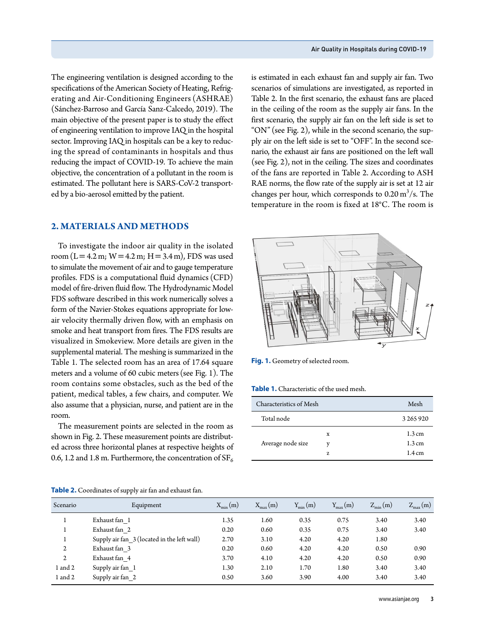The engineering ventilation is designed according to the specifications of the American Society of Heating, Refrigerating and Air-Conditioning Engineers (ASHRAE) (Sánchez-Barroso and García Sanz-Calcedo, 2019). The main objective of the present paper is to study the effect of engineering ventilation to improve IAQ in the hospital sector. Improving IAQ in hospitals can be a key to reducing the spread of contaminants in hospitals and thus reducing the impact of COVID-19. To achieve the main objective, the concentration of a pollutant in the room is estimated. The pollutant here is SARS-CoV-2 transported by a bio-aerosol emitted by the patient.

### **2. MATERIALS AND METHODS**

To investigate the indoor air quality in the isolated room (L = 4.2 m; W = 4.2 m; H = 3.4 m), FDS was used to simulate the movement of air and to gauge temperature profiles. FDS is a computational fluid dynamics (CFD) model of fire-driven fluid flow. The Hydrodynamic Model FDS software described in this work numerically solves a form of the Navier-Stokes equations appropriate for lowair velocity thermally driven flow, with an emphasis on smoke and heat transport from fires. The FDS results are visualized in Smokeview. More details are given in the supplemental material. The meshing is summarized in the Table 1. The selected room has an area of 17.64 square meters and a volume of 60 cubic meters (see Fig. 1). The room contains some obstacles, such as the bed of the patient, medical tables, a few chairs, and computer. We also assume that a physician, nurse, and patient are in the room.

The measurement points are selected in the room as shown in Fig. 2. These measurement points are distributed across three horizontal planes at respective heights of 0.6, 1.2 and 1.8 m. Furthermore, the concentration of  $SF_6$ 

is estimated in each exhaust fan and supply air fan. Two scenarios of simulations are investigated, as reported in Table 2. In the first scenario, the exhaust fans are placed in the ceiling of the room as the supply air fans. In the first scenario, the supply air fan on the left side is set to "ON" (see Fig. 2), while in the second scenario, the supply air on the left side is set to "OFF". In the second scenario, the exhaust air fans are positioned on the left wall (see Fig. 2), not in the ceiling. The sizes and coordinates of the fans are reported in Table 2. According to ASH RAE norms, the flow rate of the supply air is set at 12 air changes per hour, which corresponds to  $0.20 \,\mathrm{m}^3/\mathrm{s}$ . The temperature in the room is fixed at 18°C. The room is



**Fig. 1.** Geometry of selected room.

**Table 1.** Characteristic of the used mesh.

| Characteristics of Mesh | Mesh |                                      |
|-------------------------|------|--------------------------------------|
| Total node              |      | 3 265 920                            |
| Average node size       | X    | $1.3 \text{ cm}$                     |
|                         | 7.   | $1.3 \text{ cm}$<br>$1.4 \text{ cm}$ |

| Scenario | Equipment                                   | $X_{\min}(m)$ | $X_{\text{max}}(m)$ | $Y_{\min}(m)$ | $Y_{\text{max}}(m)$ | $Z_{\min}(m)$ | $Z_{\text{max}}(m)$ |
|----------|---------------------------------------------|---------------|---------------------|---------------|---------------------|---------------|---------------------|
|          | Exhaust fan 1                               | 1.35          | 1.60                | 0.35          | 0.75                | 3.40          | 3.40                |
|          | Exhaust fan 2                               | 0.20          | 0.60                | 0.35          | 0.75                | 3.40          | 3.40                |
|          | Supply air fan 3 (located in the left wall) | 2.70          | 3.10                | 4.20          | 4.20                | 1.80          |                     |
| 2        | Exhaust fan 3                               | 0.20          | 0.60                | 4.20          | 4.20                | 0.50          | 0.90                |
| 2        | Exhaust fan 4                               | 3.70          | 4.10                | 4.20          | 4.20                | 0.50          | 0.90                |
| 1 and 2  | Supply air fan 1                            | 1.30          | 2.10                | 1.70          | 1.80                | 3.40          | 3.40                |
| 1 and 2  | Supply air fan 2                            | 0.50          | 3.60                | 3.90          | 4.00                | 3.40          | 3.40                |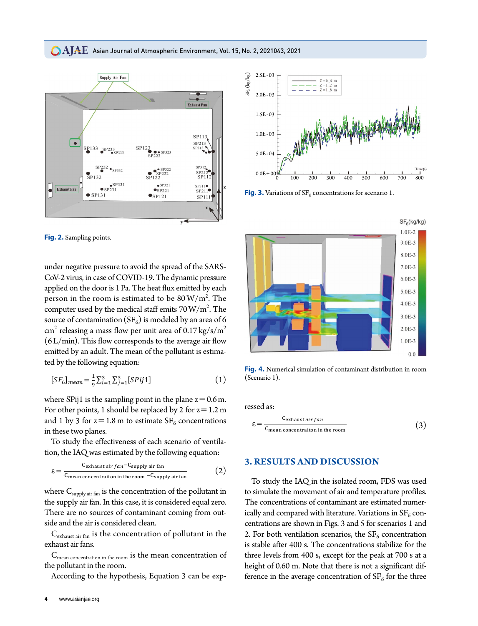### $\bigcirc$   $\rm AIAE$  Asian Journal of Atmospheric Environment, Vol. 15, No. 2, 2021043, 2021



Fig. 2. Sampling points.

under negative pressure to avoid the spread of the SARS-CoV-2 virus, in case of COVID-19. The dynamic pressure applied on the door is 1 Pa. The heat flux emitted by each person in the room is estimated to be  $80 \,\mathrm{W/m^2}$ . The computer used by the medical staff emits  $70 \,\mathrm{W/m^2}$ . The source of contamination (SF<sub>6</sub>) is modeled by an area of 6  $\text{cm}^2$  releasing a mass flow per unit area of 0.17 kg/s/m<sup>2</sup>  $(6 L/min)$ . This flow corresponds to the average air flow emitted by an adult. The mean of the pollutant is estimated by the following equation:

$$
[SF_6]_{mean} = \frac{1}{9} \sum_{i=1}^{3} \sum_{j=1}^{3} [SPij1]
$$
 (1)

where SPij1 is the sampling point in the plane  $z = 0.6$  m. For other points, 1 should be replaced by 2 for  $z = 1.2$  m and 1 by 3 for  $z = 1.8$  m to estimate  $SF_6$  concentrations in these two planes.

To study the effectiveness of each scenario of ventilation, the IAQ was estimated by the following equation:

$$
\varepsilon = \frac{C_{\text{exhaust air fan}} - C_{\text{supply air fan}}}{C_{\text{mean concentration in the room}} - C_{\text{supply air fan}}}
$$
(2)

where  $C_{\text{supply air fan}}$  is the concentration of the pollutant in the supply air fan. In this case, it is considered equal zero. There are no sources of contaminant coming from outside and the air is considered clean.

C<sub>exhaust air fan</sub> is the concentration of pollutant in the exhaust air fans.

C<sub>mean concentration in the room</sub> is the mean concentration of the pollutant in the room.

According to the hypothesis, Equation 3 can be exp-



Fig. 3. Variations of  $SF_6$  concentrations for scenario 1.



Fig. 4. Numerical simulation of contaminant distribution in room (Scenario 1).

ressed as:

$$
\varepsilon = \frac{C_{\text{exhaust air fan}}}{C_{\text{mean concentration in the room}}}
$$
(3)

### **3. RESULTS AND DISCUSSION**

To study the IAQ in the isolated room, FDS was used to simulate the movement of air and temperature profiles. The concentrations of contaminant are estimated numerically and compared with literature. Variations in  $SF<sub>6</sub>$  concentrations are shown in Figs. 3 and 5 for scenarios 1 and 2. For both ventilation scenarios, the  $SF_6$  concentration is stable after 400 s. The concentrations stabilize for the three levels from 400 s, except for the peak at 700 s at a height of 0.60 m. Note that there is not a significant difference in the average concentration of  $SF_6$  for the three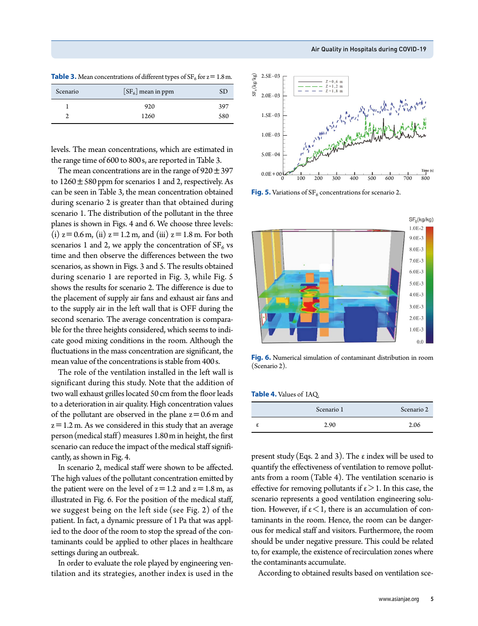| <b>Table 3.</b> Mean concentrations of different types of $SF_6$ for $z = 1.8$ m. |  |  |
|-----------------------------------------------------------------------------------|--|--|
|                                                                                   |  |  |

| Scenario | $[SF_6]$ mean in ppm |     |
|----------|----------------------|-----|
|          | 920                  | 397 |
|          | 1260                 | 580 |

levels. The mean concentrations, which are estimated in the range time of 600 to 800s, are reported in Table 3.

The mean concentrations are in the range of  $920 \pm 397$ to  $1260 \pm 580$  ppm for scenarios 1 and 2, respectively. As can be seen in Table 3, the mean concentration obtained during scenario 2 is greater than that obtained during scenario 1. The distribution of the pollutant in the three planes is shown in Figs. 4 and 6. We choose three levels: (i)  $z = 0.6$  m, (ii)  $z = 1.2$  m, and (iii)  $z = 1.8$  m. For both scenarios 1 and 2, we apply the concentration of  $SF<sub>6</sub>$  vs time and then observe the differences between the two scenarios, as shown in Figs. 3 and 5. The results obtained during scenario 1 are reported in Fig. 3, while Fig. 5 shows the results for scenario 2. The difference is due to the placement of supply air fans and exhaust air fans and to the supply air in the left wall that is OFF during the second scenario. The average concentration is comparable for the three heights considered, which seems to indicate good mixing conditions in the room. Although the fluctuations in the mass concentration are significant, the mean value of the concentrations is stable from 400s.

The role of the ventilation installed in the left wall is significant during this study. Note that the addition of two wall exhaust grilles located 50cm from the floor leads to a deterioration in air quality. High concentration values of the pollutant are observed in the plane  $z=0.6$  m and  $z=1.2$  m. As we considered in this study that an average person(medical staff) measures 1.80m in height, the first scenario can reduce the impact of the medical staff significantly, as shown in Fig. 4.

In scenario 2, medical staff were shown to be affected. The high values of the pollutant concentration emitted by the patient were on the level of  $z=1.2$  and  $z=1.8$  m, as illustrated in Fig. 6. For the position of the medical staff, we suggest being on the left side (see Fig. 2) of the patient. In fact, a dynamic pressure of 1 Pa that was applied to the door of the room to stop the spread of the contaminants could be applied to other places in healthcare settings during an outbreak.

In order to evaluate the role played by engineering ventilation and its strategies, another index is used in the



**Fig. 5.** Variations of  $SF_6$  concentrations for scenario 2.



**Fig. 6.** Numerical simulation of contaminant distribution in room (Scenario 2).

| Table 4. Values of IAQ. |  |
|-------------------------|--|
|-------------------------|--|

| Scenario 1 | Scenario 2 |
|------------|------------|
| 2.90       | 2.06       |

present study (Eqs. 2 and 3). The  $\varepsilon$  index will be used to quantify the effectiveness of ventilation to remove pollutants from a room (Table 4). The ventilation scenario is effective for removing pollutants if  $\varepsilon > 1$ . In this case, the scenario represents a good ventilation engineering solution. However, if  $\varepsilon < 1$ , there is an accumulation of contaminants in the room. Hence, the room can be dangerous for medical staff and visitors. Furthermore, the room should be under negative pressure. This could be related to, for example, the existence of recirculation zones where the contaminants accumulate.

According to obtained results based on ventilation sce-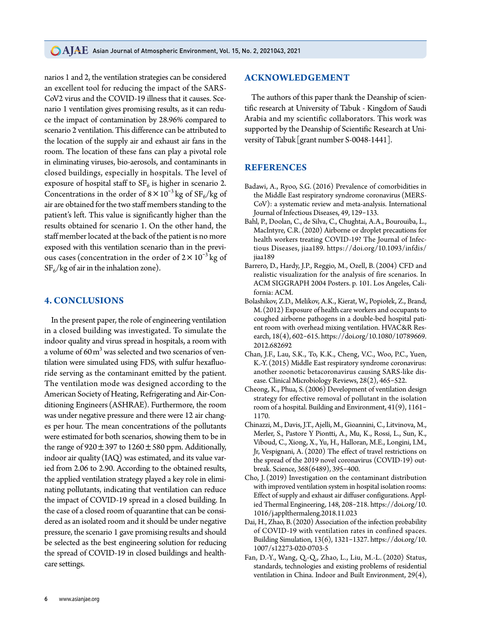**CAJAE** Asian Journal of Atmospheric Environment, Vol. 15, No. 2, 2021043, 2021

narios 1 and 2, the ventilation strategies can be considered an excellent tool for reducing the impact of the SARS-CoV2 virus and the COVID-19 illness that it causes. Scenario 1 ventilation gives promising results, as it can reduce the impact of contamination by 28.96% compared to scenario 2 ventilation. This difference can be attributed to the location of the supply air and exhaust air fans in the room. The location of these fans can play a pivotal role in eliminating viruses, bio-aerosols, and contaminants in closed buildings, especially in hospitals. The level of exposure of hospital staff to  $SF_6$  is higher in scenario 2. Concentrations in the order of  $8 \times 10^{-3}$  kg of  $SF_6/kg$  of air are obtained for the two staff members standing to the patient's left. This value is significantly higher than the results obtained for scenario 1. On the other hand, the staff member located at the back of the patient is no more exposed with this ventilation scenario than in the previous cases (concentration in the order of  $2 \times 10^{-3}$  kg of  $SF_6/kg$  of air in the inhalation zone).

### **4. CONCLUSIONS**

In the present paper, the role of engineering ventilation in a closed building was investigated. To simulate the indoor quality and virus spread in hospitals, a room with a volume of 60  $\mathrm{m}^{3}$  was selected and two scenarios of ventilation were simulated using FDS, with sulfur hexafluoride serving as the contaminant emitted by the patient. The ventilation mode was designed according to the American Society of Heating, Refrigerating and Air-Conditioning Engineers (ASHRAE). Furthermore, the room was under negative pressure and there were 12 air changes per hour. The mean concentrations of the pollutants were estimated for both scenarios, showing them to be in the range of  $920 \pm 397$  to  $1260 \pm 580$  ppm. Additionally, indoor air quality (IAQ) was estimated, and its value varied from 2.06 to 2.90. According to the obtained results, the applied ventilation strategy played a key role in eliminating pollutants, indicating that ventilation can reduce the impact of COVID-19 spread in a closed building. In the case of a closed room of quarantine that can be considered as an isolated room and it should be under negative pressure, the scenario 1 gave promising results and should be selected as the best engineering solution for reducing the spread of COVID-19 in closed buildings and healthcare settings.

### **ACKNOWLEDGEMENT**

The authors of this paper thank the Deanship of scientific research at University of Tabuk - Kingdom of Saudi Arabia and my scientific collaborators. This work was supported by the Deanship of Scientific Research at University of Tabuk [grant number S-0048-1441].

### **REFERENCES**

- Badawi, A., Ryoo, S.G. (2016) Prevalence of comorbidities in the Middle East respiratory syndrome coronavirus (MERS-CoV): a systematic review and meta-analysis. International Journal of Infectious Diseases, 49, 129-133.
- Bahl, P., Doolan, C., de Silva, C., Chughtai, A.A., Bourouiba, L., MacIntyre, C.R. (2020) Airborne or droplet precautions for health workers treating COVID-19? The Journal of Infectious Diseases, jiaa189. https://doi.org/10.1093/infdis/ jiaa189
- Barrero, D., Hardy, J.P., Reggio, M., Ozell, B. (2004) CFD and realistic visualization for the analysis of fire scenarios. In ACM SIGGRAPH 2004 Posters. p. 101. Los Angeles, California: ACM.
- Bolashikov, Z.D., Melikov, A.K., Kierat, W., Popiołek, Z., Brand, M. (2012) Exposure of health care workers and occupants to coughed airborne pathogens in a double-bed hospital patient room with overhead mixing ventilation. HVAC&R Research, 18(4), 602-615. https://doi.org/10.1080/10789669. 2012.682692
- Chan, J.F., Lau, S.K., To, K.K., Cheng, V.C., Woo, P.C., Yuen, K.-Y. (2015) Middle East respiratory syndrome coronavirus: another zoonotic betacoronavirus causing SARS-like disease. Clinical Microbiology Reviews, 28(2), 465-522.
- Cheong, K., Phua, S. (2006) Development of ventilation design strategy for effective removal of pollutant in the isolation room of a hospital. Building and Environment, 41(9), 1161-1170.
- Chinazzi, M., Davis, J.T., Ajelli, M., Gioannini, C., Litvinova, M., Merler, S., Pastore Y Piontti, A., Mu, K., Rossi, L., Sun, K., Viboud, C., Xiong, X., Yu, H., Halloran, M.E., Longini, I.M., Jr, Vespignani, A. (2020) The effect of travel restrictions on the spread of the 2019 novel coronavirus (COVID-19) outbreak. Science, 368(6489), 395-400.
- Cho, J. (2019) Investigation on the contaminant distribution with improved ventilation system in hospital isolation rooms: Effect of supply and exhaust air diffuser configurations. Applied Thermal Engineering, 148, 208-218. https://doi.org/10. 1016/j.applthermaleng.2018.11.023
- Dai, H., Zhao, B. (2020) Association of the infection probability of COVID-19 with ventilation rates in confined spaces. Building Simulation, 13(6), 1321-1327. https://doi.org/10. 1007/s12273-020-0703-5
- Fan, D.-Y., Wang, Q.-Q., Zhao, L., Liu, M.-L. (2020) Status, standards, technologies and existing problems of residential ventilation in China. Indoor and Built Environment, 29(4),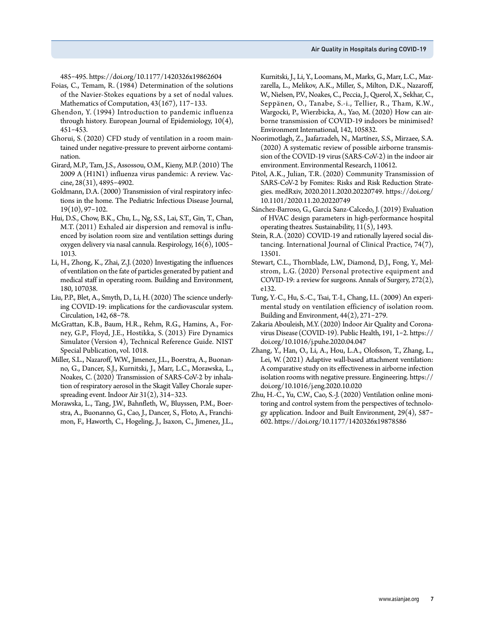485-495. https://doi.org/10.1177/1420326x19862604

Foias, C., Temam, R. (1984) Determination of the solutions of the Navier-Stokes equations by a set of nodal values. Mathematics of Computation, 43(167), 117-133.

- Ghendon, Y. (1994) Introduction to pandemic influenza through history. European Journal of Epidemiology, 10(4), 451-453.
- Ghorui, S. (2020) CFD study of ventilation in a room maintained under negative-pressure to prevent airborne contamination.
- Girard, M.P., Tam, J.S., Assossou, O.M., Kieny, M.P. (2010) The 2009 A (H1N1) influenza virus pandemic: A review. Vaccine, 28(31), 4895-4902.
- Goldmann, D.A. (2000) Transmission of viral respiratory infections in the home. The Pediatric Infectious Disease Journal, 19(10), 97-102.
- Hui, D.S., Chow, B.K., Chu, L., Ng, S.S., Lai, S.T., Gin, T., Chan, M.T. (2011) Exhaled air dispersion and removal is influenced by isolation room size and ventilation settings during oxygen delivery via nasal cannula. Respirology, 16(6), 1005-1013.
- Li, H., Zhong, K., Zhai, Z.J. (2020) Investigating the influences of ventilation on the fate of particles generated by patient and medical staff in operating room. Building and Environment, 180, 107038.
- Liu, P.P., Blet, A., Smyth, D., Li, H. (2020) The science underlying COVID-19: implications for the cardiovascular system. Circulation, 142, 68-78.
- McGrattan, K.B., Baum, H.R., Rehm, R.G., Hamins, A., Forney, G.P., Floyd, J.E., Hostikka, S. (2013) Fire Dynamics Simulator (Version 4), Technical Reference Guide. NIST Special Publication, vol. 1018.
- Miller, S.L., Nazaroff, W.W., Jimenez, J.L., Boerstra, A., Buonanno, G., Dancer, S.J., Kurnitski, J., Marr, L.C., Morawska, L., Noakes, C. (2020) Transmission of SARS-CoV-2 by inhalation of respiratory aerosol in the Skagit Valley Chorale superspreading event. Indoor Air 31(2), 314-323.
- Morawska, L., Tang, J.W., Bahnfleth, W., Bluyssen, P.M., Boerstra, A., Buonanno, G., Cao, J., Dancer, S., Floto, A., Franchimon, F., Haworth, C., Hogeling, J., Isaxon, C., Jimenez, J.L.,

Kurnitski, J., Li, Y., Loomans, M., Marks, G., Marr, L.C., Mazzarella, L., Melikov, A.K., Miller, S., Milton, D.K., Nazaroff, W., Nielsen, P.V., Noakes, C., Peccia, J., Querol, X., Sekhar, C., Seppänen, O., Tanabe, S.-i., Tellier, R., Tham, K.W., Wargocki, P., Wierzbicka, A., Yao, M. (2020) How can airborne transmission of COVID-19 indoors be minimised? Environment International, 142, 105832.

- Noorimotlagh, Z., Jaafarzadeh, N., Martínez, S.S., Mirzaee, S.A. (2020) A systematic review of possible airborne transmission of the COVID-19 virus (SARS-CoV-2) in the indoor air environment. Environmental Research, 110612.
- Pitol, A.K., Julian, T.R. (2020) Community Transmission of SARS-CoV-2 by Fomites: Risks and Risk Reduction Strategies. medRxiv, 2020.2011.2020.20220749. https://doi.org/ 10.1101/2020.11.20.20220749
- Sánchez-Barroso, G., García Sanz-Calcedo, J. (2019) Evaluation of HVAC design parameters in high-performance hospital operating theatres. Sustainability, 11(5), 1493.
- Stein, R.A. (2020) COVID-19 and rationally layered social distancing. International Journal of Clinical Practice, 74(7), 13501.
- Stewart, C.L., Thornblade, L.W., Diamond, D.J., Fong, Y., Melstrom, L.G. (2020) Personal protective equipment and COVID-19: a review for surgeons. Annals of Surgery, 272(2), e132.
- Tung, Y.-C., Hu, S.-C., Tsai, T.-I., Chang, I.L. (2009) An experimental study on ventilation efficiency of isolation room. Building and Environment, 44(2), 271-279.
- Zakaria Abouleish, M.Y. (2020) Indoor Air Quality and Coronavirus Disease (COVID-19). Public Health, 191, 1-2. https:// doi.org/10.1016/j.puhe.2020.04.047
- Zhang, Y., Han, O., Li, A., Hou, L.A., Olofsson, T., Zhang, L., Lei, W. (2021) Adaptive wall-based attachment ventilation: A comparative study on its effectiveness in airborne infection isolation rooms with negative pressure. Engineering. https:// doi.org/10.1016/j.eng.2020.10.020
- Zhu, H.-C., Yu, C.W., Cao, S.-J. (2020) Ventilation online monitoring and control system from the perspectives of technology application. Indoor and Built Environment, 29(4), 587-602. https://doi.org/10.1177/1420326x19878586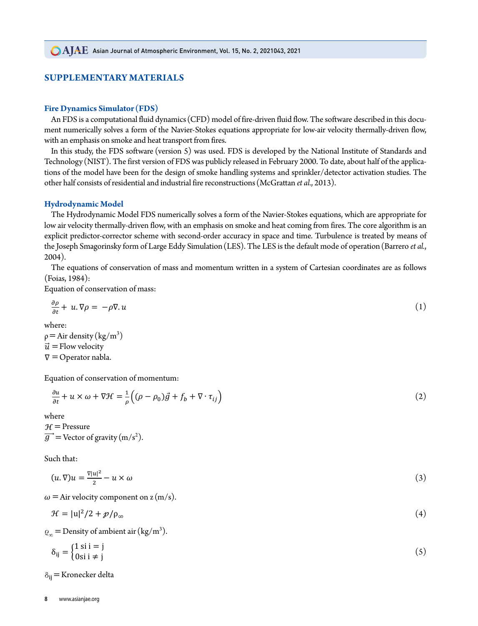In this study, the FDS software (version 5) was used. FDS is developed by the National Institute of

### **SUPPLEMENTARY MATERIALS** handling systems and sprinkler/detector activation studies. The other half consists of residential **SUPPLEMENTARY MATERIALS**

# **Fire Dynamics Simulator (FDS)**<br> *And industrial fire reconstructions* (McGrattan et al., 2013). The design of smoke reconstructions (McGrattan et al., 2013).

An FDS is a computational fluid dynamics (CFD) model of fire-driven fluid flow. The software described in this document numerically solves a form of the Navier-Stokes equations appropriate for low-air velocity thermally-driven flow,<br>The an approach on amoles and best transport from fires. with an emphasis on smoke and heat transport from fires. ment numerically solves a form of the Navier-Stokes equations appropriate for low-air velocity therma

In this study, the FDS software (version 5) was used. FDS is developed by the National Institute of Standards and  $\pi_{1,1}$ Technology (NIST). The first version of FDS was publicly released in February 2000. To date, about half of the applications of the model have been for the design of smoke handling systems and sprinkler/detector activation studies. The other half consists of residential and industrial fire reconstructions (McGrattan *et al.*, 2013).

### **Hydrodynamic Model**  $\bf Hvdrodramic\ Model$

The Hydrodynamic Model FDS numerically solves a form of the Navier-Stokes equations, which are appropriate for low air velocity thermally-driven flow, with an emphasis on smoke and heat coming from fires. The core algorithm is an explicit predictor-corrector scheme with second-order accuracy in space and time. Turbulence is treated by means of explicit predictor-corrector scheme with second-order accuracy in space and time. Turbulence is treated by the Joseph Smagorinsky form of Large Eddy Simulation (LES). The LES is the default mode of operation (Barrero *et al.,*<br>2004) 2004).  $\frac{1}{\pi}$  Tosenh Smagorinsky form of Larg 04).<br>El ciencio de Carto de Carto de Carto de Carto

The equations of conservation of mass and momentum written in a system of Cartesian coordinates are as follows (Foise 1084).  $(Foias, 1984)$ :  $\frac{1984}{2}$ .

Equation of conservation of mass:

$$
\frac{\partial \rho}{\partial t} + u \cdot \nabla \rho = -\rho \nabla \cdot u \tag{1}
$$

where:

 $\rho =$ Air density (kg/m<sup>3</sup>)  $\nabla = \text{Operator } \text{rad}$ .  $\vec{u}$  = Flow velocity  $\ddot{P}$  $y = Au$  defined wnere.<br>a = Air dansity

Equation of conservation of momentum:  $\mathcal{L}$  diation of conservation (mathematical)  $F$ quation of conservation of me Equatio

$$
\frac{\partial u}{\partial t} + u \times \omega + \nabla \mathcal{H} = \frac{1}{\rho} \Big( (\rho - \rho_0) \vec{g} + f_b + \nabla \cdot \tau_{ij} \Big)
$$
\n(2)

\nwhere

where  $\theta$  +  $\theta$  =  $\theta$  +  $\theta$  +  $\theta$  +  $\theta$  +  $\theta$  +  $\theta$  +  $\theta$  +  $\theta$  +  $\theta$  +  $\theta$  +  $\theta$  +  $\theta$  +  $\theta$  +  $\theta$  +  $\theta$  +  $\theta$  +  $\theta$  +  $\theta$  +  $\theta$  +  $\theta$  +  $\theta$  +  $\theta$  +  $\theta$  +  $\theta$  +  $\theta$  +  $\theta$  +  $\theta$  +  $\theta$  +  $\theta$  +  $\theta$  $H =$ Pressure

 $\mathbf{C}$  +  $\mathbf{C}$  $\overrightarrow{g}$  = Vector of gravity (m/s<sup>2</sup>).  $\frac{1}{2}$  gravity (m/s<sup>2</sup>).  $y =$  vector or gravity (m/s).  $\overrightarrow{a}$  = Vector of gravity (m/s<sup>2</sup>).

Such that:

 $\omega =$  Air velocity component on z (m/s).  $(u.\nabla)u = \frac{\nabla|u|^2}{2} - u$ − × (3)  $\frac{a_1}{2} - u \times \omega$  (3)  $\sqrt{|\mathbf{u}|^2}$  $V$ ) $u = \frac{u}{2} - u \times \omega$ 

ir velocity component on  $z(m/s)$ .  $\frac{1}{2}$  ,  $\frac{1}{2}$  ,  $\frac{1}{2}$ 

$$
\mathcal{H} = |u|^2/2 + \mathcal{p}/\rho_{\infty} \tag{4}
$$

 $\rho_{\infty}$  = Density of ambient air (kg/m<sup>3</sup>).

$$
\delta_{ij} = \begin{cases} 1 \text{ si } i = j \\ 0 \text{ si } i \neq j \end{cases} \tag{5}
$$

ℋ = |u|  $\alpha$  delta and  $\alpha$  and  $\alpha$  (4)  $\alpha$  (4)  $\alpha$  (4)  $\alpha$  (4)  $\alpha$  (4)  $\alpha$  (4)  $\alpha$  (4)  $\alpha$  (4)  $\alpha$  $\delta_{ij}$  = Kronecker delta  $\frac{1}{2}$  +  $\frac{1}{2}$  +  $\frac{1}{2}$  +  $\frac{1}{2}$  +  $\frac{1}{2}$  +  $\frac{1}{2}$  +  $\frac{1}{2}$  +  $\frac{1}{2}$  +  $\frac{1}{2}$  +  $\frac{1}{2}$  +  $\frac{1}{2}$  +  $\frac{1}{2}$  +  $\frac{1}{2}$  +  $\frac{1}{2}$  +  $\frac{1}{2}$  +  $\frac{1}{2}$  +  $\frac{1}{2}$  +  $\frac{1}{2}$  +  $\frac{1$  $\mathbf{R}$  is a set of  $\mathbf{S}$  is a set of  $\mathbf{S}$  is a set of  $\mathbf{S}$  is a set of  $\mathbf{S}$  is a set of  $\mathbf{S}$  is a set of  $\mathbf{S}$  is a set of  $\mathbf{S}$  is a set of  $\mathbf{S}$  is a set of  $\mathbf{S}$  is a set of  $\mathbf{S}$  is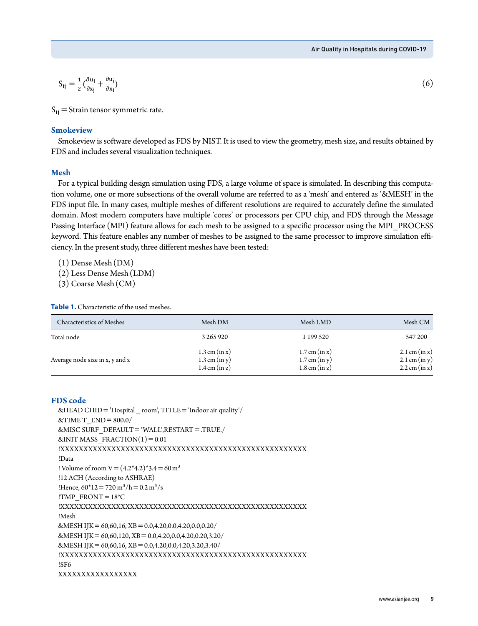$$
S_{ij} = \frac{1}{2} \left( \frac{\partial u_i}{\partial x_j} + \frac{\partial u_j}{\partial x_i} \right) \tag{6}
$$

 $\mathcal{S}_{\mathcal{A}}$  $S_{ij}$  = Strain tensor symmetric rate.

 $\mathcal{S}^{\mathcal{A}}_{\mathcal{A}}$  = Kronecker delta delta delta delta delta delta delta delta delta delta delta delta delta delta delta delta delta delta delta delta delta delta delta delta delta delta delta delta delta delta delta

### **Smokeview**

*SHOKE*  $S_{\rm 1.5}$  software developed as FDS by NIST. It is used to view the geometry, mesh size, and *Smokeview*  Smokeview is software developed as FDS by NIST. It is used to view the geometry, mesh size, and results obtained by FDS and includes several visualization techniques.

#### results obtained by FDS and includes several visualization techniques. The several visualization techniques. The several visualization of the several visualization of the several visualization of the several visualization results obtained by FDS and includes several visualization techniques. **Mesh**

For a typical bunding design simulation using 1 Do, a large volume or space is simulated. In describing this computation volume, one or more subsections of the overall volume are referred to as a 'mesh' and entered as '&ME  $F_{\rm{1}}$  for a typical building the using process sign simulation using  $F_{\rm{2}}$  and  $F_{\rm{2}}$  is simulated. In the space is simulated. In the space is simulated. In the space is simulated. In the space is simulated. In Passing Interface (MPI) feature allows for each mesh to be assigned to a specific processor using the MPI\_PROCESS For a typical building design simulation using FDS, a large volume of space is simulated. In describing this computa-FDS input file. In many cases, multiple meshes of different resolutions are required to accurately define the simulated domain. Most modern computers have multiple 'cores' or processors per CPU chip, and FDS through the Message<br>Consider the overall volume are referred to the multiple in the multiple of the multiple of the multiple of th keyword. This feature enables any number of meshes to be assigned to the same processor to improve simulation efficiency. In the present study, three different meshes have been tested:

(1) Dense Mesh(DM)

(2) Less Dense Mesh(LDM)

(3) Coarse Mesh(CM)

**Table 1.** Characteristic of the used meshes.

| Characteristics of Meshes       | Mesh DM                                                               | Mesh LMD                                                      | Mesh CM                                                   |
|---------------------------------|-----------------------------------------------------------------------|---------------------------------------------------------------|-----------------------------------------------------------|
| Total node                      | 3 265 920                                                             | 1 199 5 20                                                    | 547 200                                                   |
| Average node size in x, y and z | $1.3$ cm (in x)<br>$1.3 \text{ cm (in y)}$<br>$1.4 \text{ cm (in z)}$ | $1.7$ cm (in x)<br>$1.7$ cm (in y)<br>$1.8 \text{ cm (in z)}$ | 2.1 cm (in x)<br>2.1 cm (in y)<br>$2.2 \text{ cm (in z)}$ |

### **FDS code**

```
&HEAD CHID='Hospital _ room', TITLE='Indoor air quality'/
& TIME T_END = 800.0/
&MISC SURF_DEFAULT='WALL',RESTART=.TRUE./
&INIT MASS FRACTION(1)=0.01!XXXXXXXXXXXXXXXXXXXXXXXXXXXXXXXXXXXXXXXXXXXXXXXXXXXXX
!Data
! Volume of room V = (4.2^*4.2)^*3.4 = 60 \text{ m}^3!12 ACH (According to ASHRAE)
!Hence, 60^*12 = 720 \text{ m}^3/\text{h} = 0.2 \text{ m}^3/\text{s}!TMP_FRONT=18°C
!XXXXXXXXXXXXXXXXXXXXXXXXXXXXXXXXXXXXXXXXXXXXXXXXXXXXX
!Mesh
&MESH IJK=60,60,16, XB=0.0,4.20,0.0,4.20,0.0,0.20/
&MESH IJK=60,60,120, XB=0.0,4.20,0.0,4.20,0.20,3.20/ 
&MESH IJK=60,60,16, XB=0.0,4.20,0.0,4.20,3.20,3.40/
!XXXXXXXXXXXXXXXXXXXXXXXXXXXXXXXXXXXXXXXXXXXXXXXXXXXXX
!SF6
XXXXXXXXXXXXXXXXX
```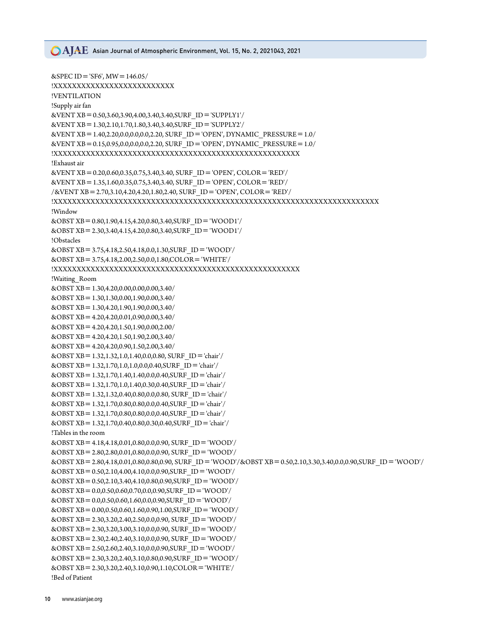### **CAIAE** Asian Journal of Atmospheric Environment, Vol. 15, No. 2, 2021043, 2021

```
&SPEC ID = 'SF6', MW = 146.05/
!XXXXXXXXXXXXXXXXXXXXXXXXXX
!VENTILATION
!Supply air fan
&VENT XB=0.50,3.60,3.90,4.00,3.40,3.40,SURF_ID='SUPPLY1'/
&VENT XB=1.30,2.10,1.70,1.80,3.40,3.40,SURF_ID='SUPPLY2'/
&VENT XB=1.40,2.20,0.0,0.0,0.0,2.20, SURF_ID='OPEN', DYNAMIC_PRESSURE=1.0/
&VENT XB=0.15,0.95,0.0,0.0,0.0,2.20, SURF_ID='OPEN', DYNAMIC_PRESSURE=1.0/
!XXXXXXXXXXXXXXXXXXXXXXXXXXXXXXXXXXXXXXXXXXXXXXXXXXXXX
!Exhaust air 
&VENT XB=0.20,0.60,0.35,0.75,3.40,3.40, SURF_ID='OPEN', COLOR='RED'/
&VENT XB=1.35,1.60,0.35,0.75,3.40,3.40, SURF_ID='OPEN', COLOR='RED'/
/&VENT XB=2.70,3.10,4.20,4.20,1.80,2.40, SURF_ID='OPEN', COLOR='RED'/
!XXXXXXXXXXXXXXXXXXXXXXXXXXXXXXXXXXXXXXXXXXXXXXXXXXXXXXXXXXXXXXXXXXXXXX
!Window
&OBST XB=0.80,1.90,4.15,4.20,0.80,3.40,SURF_ID='WOOD1'/
&OBST XB=2.30,3.40,4.15,4.20,0.80,3.40,SURF_ID='WOOD1'/
!Obstacles
&OBST XB=3.75,4.18,2.50,4.18,0.0,1.30,SURF_ID='WOOD'/
&OBST XB=3.75,4.18,2.00,2.50,0.0,1.80,COLOR='WHITE'/
!XXXXXXXXXXXXXXXXXXXXXXXXXXXXXXXXXXXXXXXXXXXXXXXXXXXXX
!Waiting_Room
&OBST XB=1.30,4.20,0.00,0.00,0.00,3.40/
&OBST XB=1.30,1.30,0.00,1.90,0.00,3.40/
&OBST XB=1.30,4.20,1.90,1.90,0.00,3.40/
&OBST XB=4.20,4.20,0.01,0.90,0.00,3.40/
&OBST XB=4.20,4.20,1.50,1.90,0.00,2.00/
&OBST XB=4.20,4.20,1.50,1.90,2.00,3.40/
&OBST XB=4.20,4.20,0.90,1.50,2.00,3.40/
&OBST XB=1.32,1.32,1.0,1.40,0.0,0.80, SURF_ID='chair'/
&OBST XB=1.32,1.70,1.0,1.0,0.0,0.40,SURF_ID='chair'/
&OBST XB=1.32,1.70,1.40,1.40,0.0,0.40,SURF_ID='chair'/
&OBST XB=1.32,1.70,1.0,1.40,0.30,0.40,SURF_ID='chair'/
&OBST XB=1.32,1.32,0.40,0.80,0.0,0.80, SURF_ID='chair'/
&OBST XB=1.32,1.70,0.80,0.80,0.0,0.40,SURF_ID='chair'/
&OBST XB=1.32,1.70,0.80,0.80,0.0,0.40,SURF_ID='chair'/
&OBST XB=1.32,1.70,0.40,0.80,0.30,0.40,SURF_ID='chair'/
!Tables in the room
&OBST XB=4.18,4.18,0.01,0.80,0.0,0.90, SURF_ID='WOOD'/
&OBST XB=2.80,2.80,0.01,0.80,0.0,0.90, SURF_ID='WOOD'/
&OBST XB=2.80,4.18,0.01,0.80,0.80,0.90, SURF_ID='WOOD'/&OBST XB=0.50,2.10,3.30,3.40,0.0,0.90,SURF_ID='WOOD'/
&OBST XB=0.50,2.10,4.00,4.10,0.0,0.90,SURF_ID='WOOD'/
&OBST XB=0.50,2.10,3.40,4.10,0.80,0.90,SURF_ID='WOOD'/
&OBST XB=0.0,0.50,0.60,0.70,0.0,0.90,SURF_ID='WOOD'/
&OBST XB=0.0,0.50,0.60,1.60,0.0,0.90,SURF_ID='WOOD'/
&OBST XB=0.00,0.50,0.60,1.60,0.90,1.00,SURF_ID='WOOD'/
&OBST XB=2.30,3.20,2.40,2.50,0.0,0.90, SURF_ID='WOOD'/
&OBST XB=2.30,3.20,3.00,3.10,0.0,0.90, SURF_ID='WOOD'/
&OBST XB=2.30,2.40,2.40,3.10,0.0,0.90, SURF_ID='WOOD'/
&OBST XB=2.50,2.60,2.40,3.10,0.0,0.90,SURF_ID='WOOD'/
&OBST XB=2.30,3.20,2.40,3.10,0.80,0.90,SURF_ID='WOOD'/
&OBST XB=2.30,3.20,2.40,3.10,0.90,1.10,COLOR='WHITE'/
!Bed of Patient
```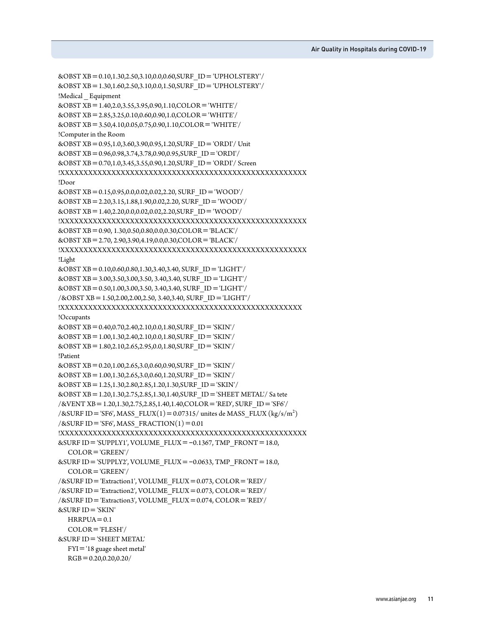```
&OBST XB=0.10,1.30,2.50,3.10,0.0,0.60,SURF_ID='UPHOLSTERY'/
&OBST XB=1.30,1.60,2.50,3.10,0.0,1.50,SURF_ID='UPHOLSTERY'/
!Medical Equipment
&OBST XB=1.40,2.0,3.55,3.95,0.90,1.10,COLOR='WHITE'/
&OBST XB=2.85,3.25,0.10,0.60,0.90,1.0,COLOR='WHITE'/
&OBST XB=3.50,4.10,0.05,0.75,0.90,1.10,COLOR='WHITE'/
!Computer in the Room
&OBST XB=0.95,1.0,3.60,3.90,0.95,1.20,SURF_ID='ORDI'/ Unit
&OBST XB=0.96,0.98,3.74,3.78,0.90,0.95,SURF_ID='ORDI'/
&OBST XB=0.70,1.0,3.45,3.55,0.90,1.20,SURF_ID='ORDI'/ Screen
!XXXXXXXXXXXXXXXXXXXXXXXXXXXXXXXXXXXXXXXXXXXXXXXXXXXXX
!Door
&OBST XB=0.15,0.95,0.0,0.02,0.02,2.20, SURF_ID='WOOD'/
&OBST XB=2.20,3.15,1.88,1.90,0.02,2.20, SURF_ID='WOOD'/
&OBST XB=1.40,2.20,0.0,0.02,0.02,2.20,SURF_ID='WOOD'/
!XXXXXXXXXXXXXXXXXXXXXXXXXXXXXXXXXXXXXXXXXXXXXXXXXXXXX
&OBST XB=0.90, 1.30,0.50,0.80,0.0,0.30,COLOR='BLACK'/
&OBST XB=2.70, 2.90,3.90,4.19,0.0,0.30,COLOR='BLACK'/
!XXXXXXXXXXXXXXXXXXXXXXXXXXXXXXXXXXXXXXXXXXXXXXXXXXXXX
!Light
&OBST XB=0.10,0.60,0.80,1.30,3.40,3.40, SURF_ID='LIGHT'/
&OBST XB=3.00,3.50,3.00,3.50, 3.40,3.40, SURF_ID='LIGHT'/
&OBST XB=0.50,1.00,3.00,3.50, 3.40,3.40, SURF_ID='LIGHT'/
/&OBST XB=1.50,2.00,2.00,2.50, 3.40,3.40, SURF_ID='LIGHT'/
!XXXXXXXXXXXXXXXXXXXXXXXXXXXXXXXXXXXXXXXXXXXXXXXXXXXX
!Occupants
&OBST XB=0.40,0.70,2.40,2.10,0.0,1.80,SURF_ID='SKIN'/
&OBST XB=1.00,1.30,2.40,2.10,0.0,1.80,SURF_ID='SKIN'/
&OBST XB=1.80,2.10,2.65,2.95,0.0,1.80,SURF_ID='SKIN'/
!Patient
&OBST XB=0.20,1.00,2.65,3.0,0.60,0.90,SURF_ID='SKIN'/
&OBST XB=1.00,1.30,2.65,3.0,0.60,1.20,SURF_ID='SKIN'/
&OBST XB=1.25,1.30,2.80,2.85,1.20,1.30,SURF_ID='SKIN'/
&OBST XB=1.20,1.30,2.75,2.85,1.30,1.40,SURF_ID='SHEET METAL'/ Sa tete
/&VENT XB=1.20,1.30,2.75,2.85,1.40,1.40,COLOR='RED', SURF_ID='SF6'/
/&SURF ID = 'SF6', MASS_FLUX(1) = 0.07315/ unites de MASS_FLUX (kg/s/m<sup>2</sup>)
\frac{\text{d}}{\text{d}x\text{SURF}} ID = 'SF6', MASS FRACTION(1) = 0.01
!XXXXXXXXXXXXXXXXXXXXXXXXXXXXXXXXXXXXXXXXXXXXXXXXXXXXX
&SURF ID = 'SUPPLY1', VOLUME_FLUX = -0.1367, TMP_FRONT = 18.0,
    COLOR='GREEN'/
\&SURF ID = 'SUPPLY2', VOLUME FLUX = -0.0633, TMP FRONT = 18.0,
    COLOR='GREEN'/
/&SURF ID='Extraction1', VOLUME_FLUX=0.073, COLOR='RED'/
/&SURF ID='Extraction2', VOLUME_FLUX=0.073, COLOR='RED'/
/&SURF ID='Extraction3', VOLUME_FLUX=0.074, COLOR='RED'/
&SURF ID='SKIN'
  HRRPUA=0.1 COLOR='FLESH'/
&SURF ID='SHEET METAL'
   FYI='18 guage sheet metal'
  RGB=0.20, 0.20, 0.20/
```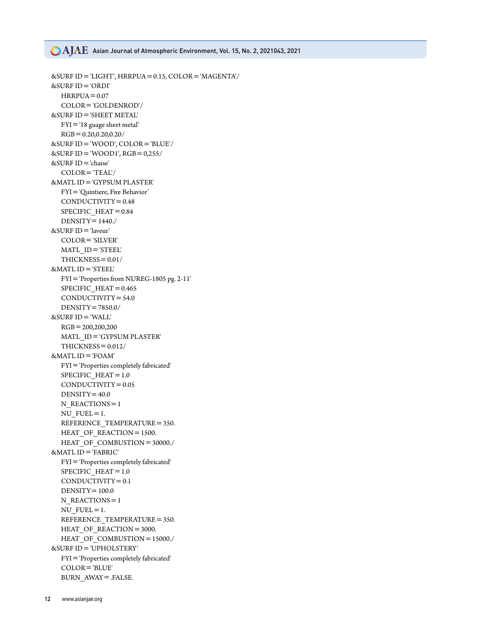### **CAJAE** Asian Journal of Atmospheric Environment, Vol. 15, No. 2, 2021043, 2021

```
&SURF ID='LIGHT', HRRPUA=0.15, COLOR='MAGENTA'/
&SURF ID='ORDI'
  HRRPUA = 0.07 COLOR='GOLDENROD'/
&SURF ID='SHEET METAL'
   FYI='18 guage sheet metal'
  RGB=0.20, 0.20, 0.20/&SURF ID='WOOD', COLOR='BLUE'/ 
&SURF ID = 'WOOD1', RGB = 0,255/
&SURF ID='chaise'
   COLOR='TEAL'/
&MATL ID='GYPSUM PLASTER'
   FYI='Quintiere, Fire Behavior'
   CONDUCTIVITY=0.48
   SPECIFIC_HEAT=0.84
  DENSITY = 1440./&SURF ID='laveur'
  COLOR = 'SILVER' MATL_ID='STEEL'
   THICKNESS=0.01/
&MATL ID='STEEL'
   FYI='Properties from NUREG-1805 pg. 2-11'
   SPECIFIC_HEAT=0.465
   CONDUCTIVITY=54.0
   DENSITY=7850.0/
&SURF ID='WALL'
   RGB=200,200,200
   MATL_ID='GYPSUM PLASTER'
  THICKNESS=0.012/&MATL ID='FOAM'
   FYI='Properties completely fabricated'
   SPECIFIC_HEAT=1.0
   CONDUCTIVITY=0.05
  DENSITY=40.0N_REACTIONS = 1NU FUEL=1.
  REFERENCE TEMPERATURE = 350.
  HEAT OF REACTION=1500.
  HEAT OF COMBUSTION=30000./
&MATL ID='FABRIC'
   FYI='Properties completely fabricated'
  SPECIFIC HEAT = 1.0 CONDUCTIVITY=0.1
  DENSITY=100.0N_REACTIONS = 1NU FUEL=1.
  REFERENCE TEMPERATURE = 350.
  HEAT OF REACTION=3000.
  HEAT OF COMBUSTION=15000./
&SURF ID='UPHOLSTERY'
   FYI='Properties completely fabricated'
   COLOR='BLUE'
   BURN_AWAY=.FALSE.
```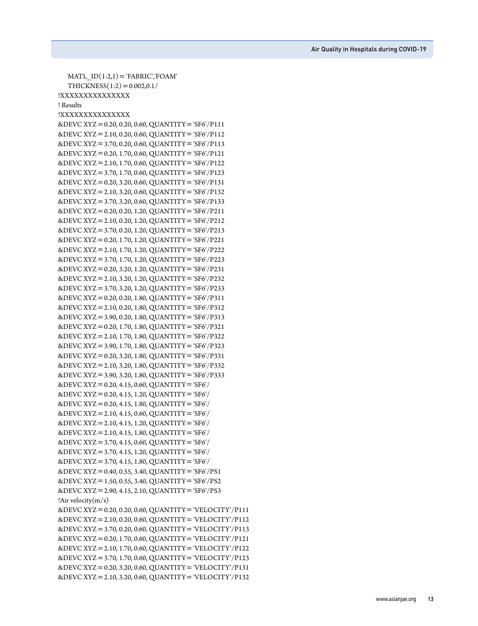Air Quality in Hospitals during COVID-19

```
MATL ID(1:2,1) = 'FABRIC','FOAM'
  THICKNESS(1:2)=0.002,0.1/!XXXXXXXXXXXXXXX
! Results
!XXXXXXXXXXXXXXX
&DEVC XYZ=0.20, 0.20, 0.60, QUANTITY='SF6'/P111
&DEVC XYZ=2.10, 0.20, 0.60, QUANTITY='SF6'/P112
&DEVC XYZ=3.70, 0.20, 0.60, QUANTITY='SF6'/P113
&DEVC XYZ=0.20, 1.70, 0.60, QUANTITY='SF6'/P121
&DEVC XYZ=2.10, 1.70, 0.60, QUANTITY='SF6'/P122
&DEVC XYZ=3.70, 1.70, 0.60, QUANTITY='SF6'/P123
&DEVC XYZ=0.20, 3.20, 0.60, QUANTITY='SF6'/P131
&DEVC XYZ=2.10, 3.20, 0.60, QUANTITY='SF6'/P132
&DEVC XYZ=3.70, 3.20, 0.60, QUANTITY='SF6'/P133
&DEVC XYZ=0.20, 0.20, 1.20, QUANTITY='SF6'/P211
&DEVC XYZ=2.10, 0.20, 1.20, QUANTITY='SF6'/P212
&DEVC XYZ=3.70, 0.20, 1.20, QUANTITY='SF6'/P213
&DEVC XYZ=0.20, 1.70, 1.20, QUANTITY='SF6'/P221
&DEVC XYZ=2.10, 1.70, 1.20, QUANTITY='SF6'/P222
&DEVC XYZ=3.70, 1.70, 1.20, QUANTITY='SF6'/P223
&DEVC XYZ=0.20, 3.20, 1.20, QUANTITY='SF6'/P231
&DEVC XYZ=2.10, 3.20, 1.20, QUANTITY='SF6'/P232
&DEVC XYZ=3.70, 3.20, 1.20, QUANTITY='SF6'/P233
&DEVC XYZ=0.20, 0.20, 1.80, QUANTITY='SF6'/P311
&DEVC XYZ=2.10, 0.20, 1.80, QUANTITY='SF6'/P312
&DEVC XYZ=3.90, 0.20, 1.80, QUANTITY='SF6'/P313
&DEVC XYZ=0.20, 1.70, 1.80, QUANTITY='SF6'/P321
&DEVC XYZ=2.10, 1.70, 1.80, QUANTITY='SF6'/P322
&DEVC XYZ=3.90, 1.70, 1.80, QUANTITY='SF6'/P323
&DEVC XYZ=0.20, 3.20, 1.80, QUANTITY='SF6'/P331
&DEVC XYZ=2.10, 3.20, 1.80, QUANTITY='SF6'/P332
&DEVC XYZ=3.90, 3.20, 1.80, QUANTITY='SF6'/P333
&DEVC XYZ=0.20, 4.15, 0.60, QUANTITY='SF6'/
&DEVC XYZ=0.20, 4.15, 1.20, QUANTITY='SF6'/
&DEVC XYZ=0.20, 4.15, 1.80, QUANTITY='SF6'/
&DEVC XYZ=2.10, 4.15, 0.60, QUANTITY='SF6'/
&DEVC XYZ=2.10, 4.15, 1.20, QUANTITY='SF6'/
&DEVC XYZ=2.10, 4.15, 1.80, QUANTITY='SF6'/
&DEVC XYZ=3.70, 4.15, 0.60, QUANTITY='SF6'/
&DEVC XYZ=3.70, 4.15, 1.20, QUANTITY='SF6'/
&DEVC XYZ=3.70, 4.15, 1.80, QUANTITY='SF6'/
&DEVC XYZ=0.40, 0.55, 3.40, QUANTITY='SF6'/PS1
&DEVC XYZ=1.50, 0.55, 3.40, QUANTITY='SF6'/PS2
&DEVC XYZ=2.90, 4.15, 2.10, QUANTITY='SF6'/PS3
!Air velocity(m/s)&DEVC XYZ=0.20, 0.20, 0.60, QUANTITY='VELOCITY'/P111
&DEVC XYZ=2.10, 0.20, 0.60, QUANTITY='VELOCITY'/P112
&DEVC XYZ=3.70, 0.20, 0.60, QUANTITY='VELOCITY'/P113
&DEVC XYZ=0.20, 1.70, 0.60, QUANTITY='VELOCITY'/P121
&DEVC XYZ=2.10, 1.70, 0.60, QUANTITY='VELOCITY'/P122
&DEVC XYZ=3.70, 1.70, 0.60, QUANTITY='VELOCITY'/P123
&DEVC XYZ=0.20, 3.20, 0.60, QUANTITY='VELOCITY'/P131
&DEVC XYZ=2.10, 3.20, 0.60, QUANTITY='VELOCITY'/P132
```